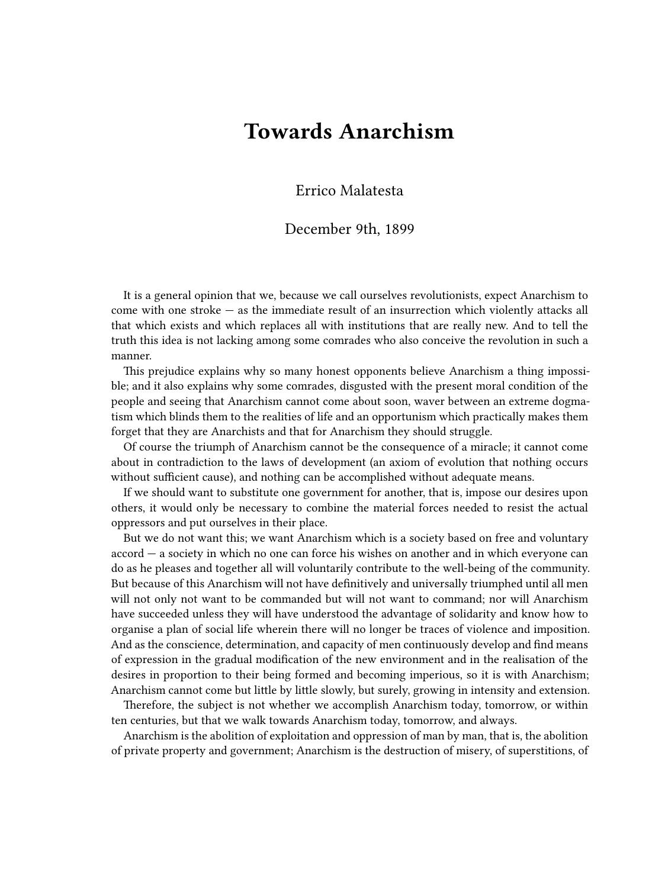## **Towards Anarchism**

Errico Malatesta

## December 9th, 1899

It is a general opinion that we, because we call ourselves revolutionists, expect Anarchism to come with one stroke  $-$  as the immediate result of an insurrection which violently attacks all that which exists and which replaces all with institutions that are really new. And to tell the truth this idea is not lacking among some comrades who also conceive the revolution in such a manner.

This prejudice explains why so many honest opponents believe Anarchism a thing impossible; and it also explains why some comrades, disgusted with the present moral condition of the people and seeing that Anarchism cannot come about soon, waver between an extreme dogmatism which blinds them to the realities of life and an opportunism which practically makes them forget that they are Anarchists and that for Anarchism they should struggle.

Of course the triumph of Anarchism cannot be the consequence of a miracle; it cannot come about in contradiction to the laws of development (an axiom of evolution that nothing occurs without sufficient cause), and nothing can be accomplished without adequate means.

If we should want to substitute one government for another, that is, impose our desires upon others, it would only be necessary to combine the material forces needed to resist the actual oppressors and put ourselves in their place.

But we do not want this; we want Anarchism which is a society based on free and voluntary accord — a society in which no one can force his wishes on another and in which everyone can do as he pleases and together all will voluntarily contribute to the well-being of the community. But because of this Anarchism will not have definitively and universally triumphed until all men will not only not want to be commanded but will not want to command; nor will Anarchism have succeeded unless they will have understood the advantage of solidarity and know how to organise a plan of social life wherein there will no longer be traces of violence and imposition. And as the conscience, determination, and capacity of men continuously develop and find means of expression in the gradual modification of the new environment and in the realisation of the desires in proportion to their being formed and becoming imperious, so it is with Anarchism; Anarchism cannot come but little by little slowly, but surely, growing in intensity and extension.

Therefore, the subject is not whether we accomplish Anarchism today, tomorrow, or within ten centuries, but that we walk towards Anarchism today, tomorrow, and always.

Anarchism is the abolition of exploitation and oppression of man by man, that is, the abolition of private property and government; Anarchism is the destruction of misery, of superstitions, of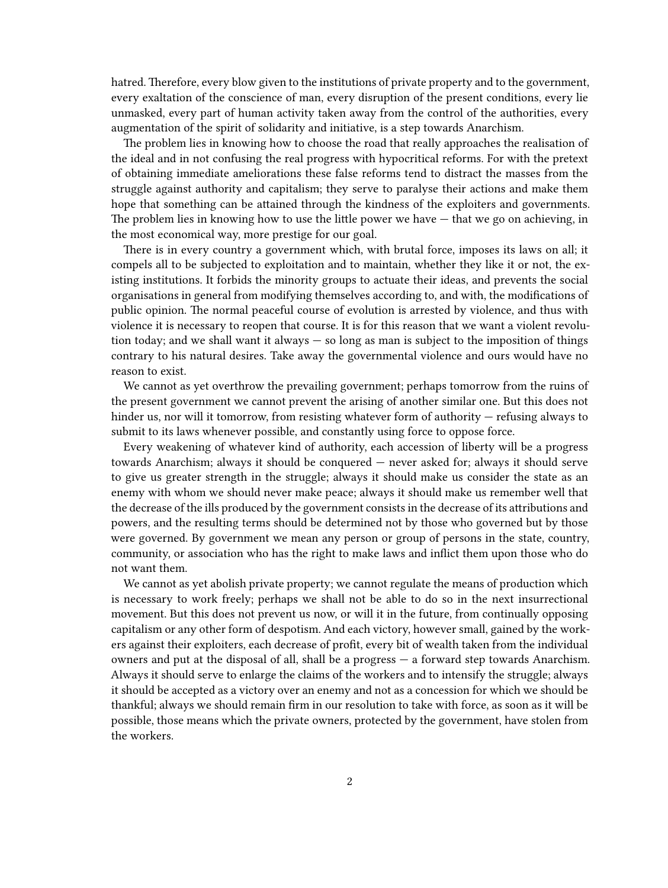hatred. Therefore, every blow given to the institutions of private property and to the government, every exaltation of the conscience of man, every disruption of the present conditions, every lie unmasked, every part of human activity taken away from the control of the authorities, every augmentation of the spirit of solidarity and initiative, is a step towards Anarchism.

The problem lies in knowing how to choose the road that really approaches the realisation of the ideal and in not confusing the real progress with hypocritical reforms. For with the pretext of obtaining immediate ameliorations these false reforms tend to distract the masses from the struggle against authority and capitalism; they serve to paralyse their actions and make them hope that something can be attained through the kindness of the exploiters and governments. The problem lies in knowing how to use the little power we have — that we go on achieving, in the most economical way, more prestige for our goal.

There is in every country a government which, with brutal force, imposes its laws on all; it compels all to be subjected to exploitation and to maintain, whether they like it or not, the existing institutions. It forbids the minority groups to actuate their ideas, and prevents the social organisations in general from modifying themselves according to, and with, the modifications of public opinion. The normal peaceful course of evolution is arrested by violence, and thus with violence it is necessary to reopen that course. It is for this reason that we want a violent revolution today; and we shall want it always  $-$  so long as man is subject to the imposition of things contrary to his natural desires. Take away the governmental violence and ours would have no reason to exist.

We cannot as yet overthrow the prevailing government; perhaps tomorrow from the ruins of the present government we cannot prevent the arising of another similar one. But this does not hinder us, nor will it tomorrow, from resisting whatever form of authority — refusing always to submit to its laws whenever possible, and constantly using force to oppose force.

Every weakening of whatever kind of authority, each accession of liberty will be a progress towards Anarchism; always it should be conquered — never asked for; always it should serve to give us greater strength in the struggle; always it should make us consider the state as an enemy with whom we should never make peace; always it should make us remember well that the decrease of the ills produced by the government consists in the decrease of its attributions and powers, and the resulting terms should be determined not by those who governed but by those were governed. By government we mean any person or group of persons in the state, country, community, or association who has the right to make laws and inflict them upon those who do not want them.

We cannot as yet abolish private property; we cannot regulate the means of production which is necessary to work freely; perhaps we shall not be able to do so in the next insurrectional movement. But this does not prevent us now, or will it in the future, from continually opposing capitalism or any other form of despotism. And each victory, however small, gained by the workers against their exploiters, each decrease of profit, every bit of wealth taken from the individual owners and put at the disposal of all, shall be a progress — a forward step towards Anarchism. Always it should serve to enlarge the claims of the workers and to intensify the struggle; always it should be accepted as a victory over an enemy and not as a concession for which we should be thankful; always we should remain firm in our resolution to take with force, as soon as it will be possible, those means which the private owners, protected by the government, have stolen from the workers.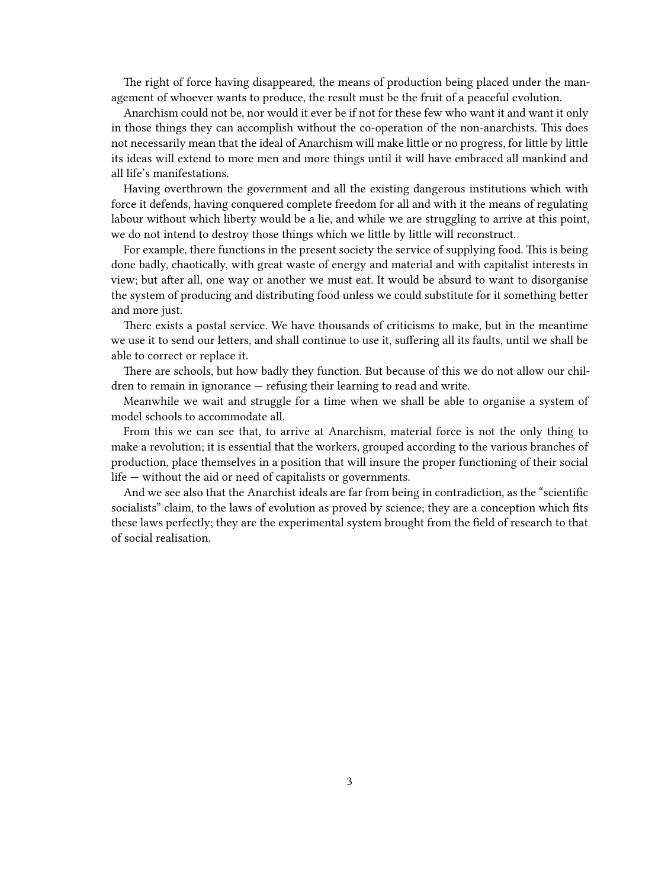The right of force having disappeared, the means of production being placed under the management of whoever wants to produce, the result must be the fruit of a peaceful evolution.

Anarchism could not be, nor would it ever be if not for these few who want it and want it only in those things they can accomplish without the co-operation of the non-anarchists. This does not necessarily mean that the ideal of Anarchism will make little or no progress, for little by little its ideas will extend to more men and more things until it will have embraced all mankind and all life's manifestations.

Having overthrown the government and all the existing dangerous institutions which with force it defends, having conquered complete freedom for all and with it the means of regulating labour without which liberty would be a lie, and while we are struggling to arrive at this point, we do not intend to destroy those things which we little by little will reconstruct.

For example, there functions in the present society the service of supplying food. This is being done badly, chaotically, with great waste of energy and material and with capitalist interests in view; but after all, one way or another we must eat. It would be absurd to want to disorganise the system of producing and distributing food unless we could substitute for it something better and more just.

There exists a postal service. We have thousands of criticisms to make, but in the meantime we use it to send our letters, and shall continue to use it, suffering all its faults, until we shall be able to correct or replace it.

There are schools, but how badly they function. But because of this we do not allow our children to remain in ignorance — refusing their learning to read and write.

Meanwhile we wait and struggle for a time when we shall be able to organise a system of model schools to accommodate all.

From this we can see that, to arrive at Anarchism, material force is not the only thing to make a revolution; it is essential that the workers, grouped according to the various branches of production, place themselves in a position that will insure the proper functioning of their social life — without the aid or need of capitalists or governments.

And we see also that the Anarchist ideals are far from being in contradiction, as the "scientific socialists" claim, to the laws of evolution as proved by science; they are a conception which fits these laws perfectly; they are the experimental system brought from the field of research to that of social realisation.